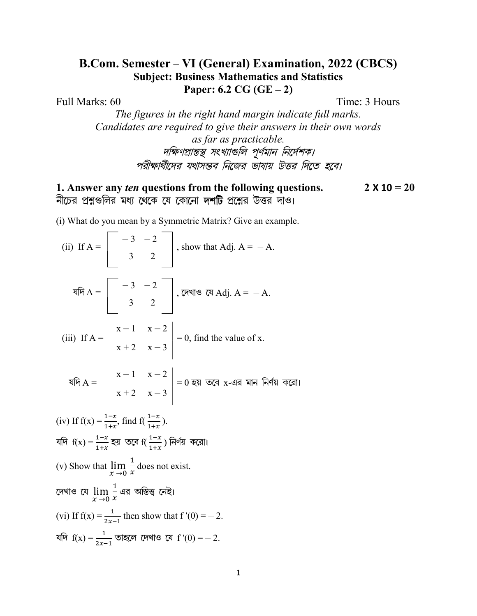## **B.Com. Semester – VI (General) Examination, 2022 (CBCS) Subject: Business Mathematics and Statistics** Paper:  $6.2 \text{ CG } (GE-2)$

Full Marks: 60

Time: 3 Hours

The figures in the right hand margin indicate full marks. Candidates are required to give their answers in their own words

> as far as practicable. দক্ষিণপ্রান্তস্থ সংখ্যাগুলি পূর্ণমান নির্দেশক। পরীক্ষার্থীদের যথাসম্ভব নিজের ভাষায় উত্তর দিতে হবে।

1. Answer any *ten* questions from the following questions.  $2 \times 10 = 20$ নীচের প্রশ্নগুলির মধ্য থেকে যে কোনো দর্শটি প্রশ্নের উত্তর দাও।

(i) What do you mean by a Symmetric Matrix? Give an example.

(ii) If A =  $\begin{vmatrix} -3 & -2 \\ 3 & 2 \end{vmatrix}$ , show that Adj. A = -A. যদি  $A = \begin{bmatrix} -3 & -2 \\ 3 & 2 \end{bmatrix}$ , দেখাও যে Adj.  $A = -A$ . (iii) If  $A = \begin{vmatrix} x-1 & x-2 \\ x+2 & x-3 \end{vmatrix} = 0$ , find the value of x.<br>  $\sqrt[3]{x}A = \begin{vmatrix} x-1 & x-2 \\ x+2 & x-3 \end{vmatrix} = 0$  হয় তবে x-এর মান নির্ণয় করো। (iv) If  $f(x) = \frac{1-x}{1+x}$ , find  $f(\frac{1-x}{1+x})$ . যদি  $f(x) = \frac{1-x}{1+x}$  হয় তবে  $f(\frac{1-x}{1+x})$  নির্ণয় করো। (v) Show that  $\lim_{x\to 0} \frac{1}{x}$  does not exist. দেখাও যে  $\lim_{x\to 0}\frac{1}{x}$ এর অস্তিত্ত্ব নেই। (vi) If  $f(x) = \frac{1}{2x-1}$  then show that  $f'(0) = -2$ . যদি  $f(x) = \frac{1}{2x-1}$  তাহলে দেখাও যে f'(0) = -2.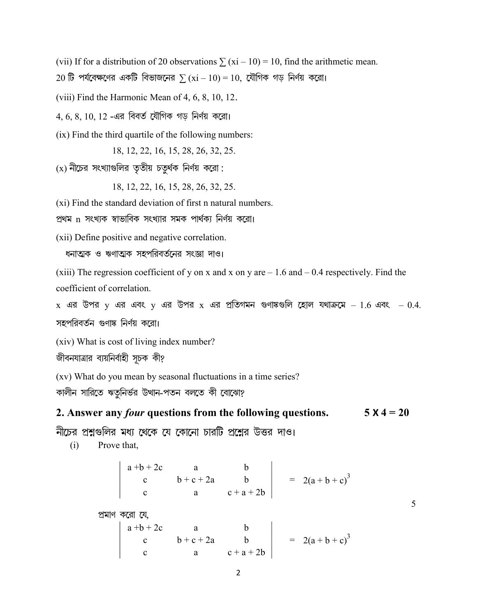(vii) If for a distribution of 20 observations  $\sum (xi - 10) = 10$ , find the arithmetic mean.

20 টি পর্যবেক্ষণের একটি বিভাজনের  $\sum (xi - 10) = 10$ , যৌগিক গড় নির্ণয় করো।

(viii) Find the Harmonic Mean of 4, 6, 8, 10, 12.

 $4, 6, 8, 10, 12$  -এর বিবর্ত যৌগিক গড নির্ণয় করো।

(ix) Find the third quartile of the following numbers:

18, 12, 22, 16, 15, 28, 26, 32, 25.

 $(x)$  নীচের সংখ্যাগুলির তৃতীয় চতুর্থক নির্ণয় করো:

18, 12, 22, 16, 15, 28, 26, 32, 25.

(xi) Find the standard deviation of first n natural numbers.

প্রথম n সংখ্যক স্বাভাবিক সংখ্যার সমক পার্থক্য নির্ণয় করো।

(xii) Define positive and negative correlation.

ধনাত্মক ও ঋণাত্মক সহপরিবর্তনের সংজ্ঞা দাও।

(xiii) The regression coefficient of y on x and x on y are  $-1.6$  and  $-0.4$  respectively. Find the coefficient of correlation.

 $x$  এর উপর  $y$  এর এবং  $y$  এর উপর  $x$  এর প্রতিগমন গুণাঙ্কগুলি হোল যথাক্রমে  $-1.6$  এবং  $-0.4$ .

সহপরিবর্তন গুণাঙ্ক নির্ণয় করো।

(xiv) What is cost of living index number?

জীবনযাত্রার ব্যয়নির্বাহী সূচক কী?

(xv) What do you mean by seasonal fluctuations in a time series?

কালীন সারিতে ঋতুনির্ভর উত্থান-পতন বলতে কী বোঝো?

2. Answer any *four* questions from the following questions.  $5 \times 4 = 20$ 

নীচের প্রশ্নগুলির মধ্য থেকে যে কোনো চারটি প্রশ্নের উত্তর দাও।

 $(i)$ Prove that,

 $\begin{vmatrix} a+b+2c & a & b \\ c & b+c+2a & b \\ c & a & c+a+2b \end{vmatrix}$  = 2(a+b+c)<sup>3</sup>

5

প্ৰমাণ করো হে

 $\begin{vmatrix} a+b+2c & a & b \\ c & b+c+2a & b \\ c & a & c+a+2b \end{vmatrix}$  = 2(a+b+c)<sup>3</sup>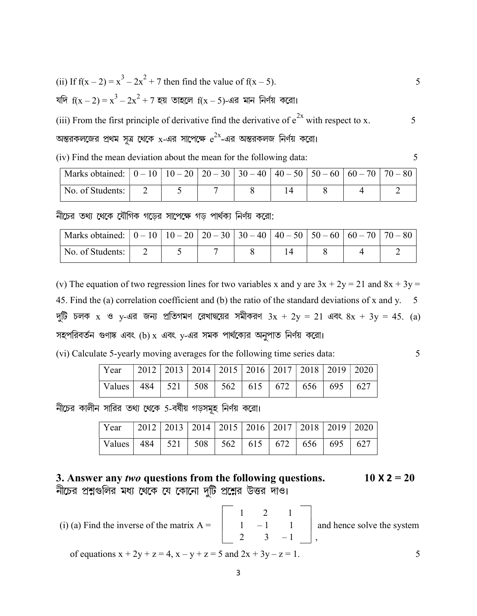(ii) If 
$$
f(x - 2) = x^3 - 2x^2 + 7
$$
 then find the value of  $f(x - 5)$ .

যদি 
$$
f(x-2) = x^3 - 2x^2 + 7
$$
 হয় তাহলে  $f(x-5)$ -এর মান নির্ণয় করো।

(iii) From the first principle of derivative find the derivative of  $e^{2x}$  with respect to x.

অন্তরকলজের প্রথম সূত্র থেকে x-এর সাপেক্ষে  $e^{2x}$ -এর অন্তরকলজ নির্ণয় করো।

(iv) Find the mean deviation about the mean for the following data:

| No. of Students: |  |  |  |  |
|------------------|--|--|--|--|

নীচের তথ্য থেকে যৌগিক গডের সাপেক্ষে গড পার্থক্য নির্ণয় করো:

| No. of Students: |  |  |  |  |
|------------------|--|--|--|--|

(v) The equation of two regression lines for two variables x and y are  $3x + 2y = 21$  and  $8x + 3y = 1$ 45. Find the (a) correlation coefficient and (b) the ratio of the standard deviations of x and y.  $5$ দুটি চলক x ও y-এর জন্য প্রতিগমণ রেখাদ্বয়ের সমীকরণ  $3x + 2y = 21$  এবং  $8x + 3y = 45$ . (a) সহপরিবর্তন গুণাষ্ক এবং (b) x এবং y-এর সমক পার্থক্যের অনুপাত নির্ণয় করো।

|  | (vi) Calculate 5-yearly moving averages for the following time series data: |  |  |  |  |  |
|--|-----------------------------------------------------------------------------|--|--|--|--|--|
|  |                                                                             |  |  |  |  |  |

5

5

5

| Year   2012   2013   2014   2015   2016   2017   2018   2019   2020              |  |  |  |  |  |
|----------------------------------------------------------------------------------|--|--|--|--|--|
| $\sqrt{\text{Values} \cdot 484}$   521   508   562   615   672   656   695   627 |  |  |  |  |  |

নীচের কালীন সারির তথ্য থেকে 5-বর্ষীয় গড়সমূহ নির্ণয় করো।

| Year                                                         | 2012   2013   2014   2015   2016   2017   2018   2019   2020 |  |  |  |  |
|--------------------------------------------------------------|--------------------------------------------------------------|--|--|--|--|
| Values   484   521   508   562   615   672   656   695   627 |                                                              |  |  |  |  |

3. Answer any two questions from the following questions.  $10 \times 2 = 20$ নীচের প্রশ্নগুলির মধ্য থেকে যে কোনো দুটি প্রশ্নের উত্তর দাও।

(i) (a) Find the inverse of the matrix  $A = \begin{bmatrix} 1 & 2 & 1 \\ 1 & -1 & 1 \\ 2 & 3 & -1 \end{bmatrix}$  and hence solve the system of equations  $x + 2y + z = 4$ ,  $x - y + z = 5$  and  $2x + 3y - z = 1$ . 5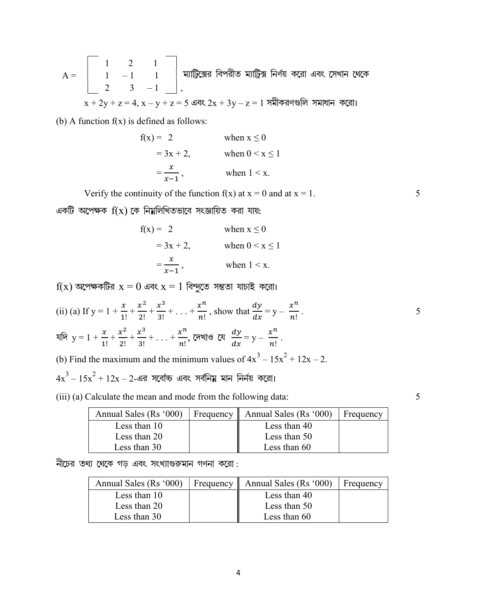$$
A = \begin{bmatrix} 1 & 2 & 1 \\ 1 & -1 & 1 \\ 2 & 3 & -1 \end{bmatrix}
$$
,   

$$
x + 2y + z = 4
$$
, 
$$
x - y + z = 5
$$
 
$$
x + 2y + z = 4
$$
, 
$$
x - y + z = 5
$$
 
$$
x + 2y + z = 4
$$
, 
$$
x - y + z = 5
$$
 
$$
x + 2y + z = 4
$$
, 
$$
x - y + z = 5
$$
 
$$
x + 2y + z = 4
$$
, 
$$
x - y + z = 5
$$
 
$$
x + 2y + z = 4
$$
, 
$$
x - y + z = 5
$$
 
$$
x + 2y + z = 4
$$
, 
$$
x - y + z = 5
$$
 
$$
x + 2y + z = 4
$$
, 
$$
x - y + z = 5
$$
 
$$
x + 2y + z = 4
$$
, 
$$
x - y + z = 5
$$
 
$$
x + 2y + z = 4
$$
, 
$$
x - y + z = 5
$$
 
$$
y = 2
$$
, 
$$
z = 1
$$
 
$$
y = 2
$$
, 
$$
z = 1
$$
 
$$
y = 2
$$
, 
$$
z = 1
$$
 
$$
y = 2
$$
 
$$
z = 2
$$
 
$$
y = 2
$$
 
$$
z = 2
$$
 
$$
y = 2
$$
 
$$
z = 2
$$
 
$$
z = 2
$$
 
$$
z = 2
$$
 
$$
z = 2
$$
 
$$
z = 2
$$
 
$$
z = 2
$$
 
$$
z = 2
$$
 
$$
z = 2
$$
 
$$
z = 2
$$
 
$$
z = 2
$$
 
$$
z = 2
$$
 
$$
z = 2
$$
 
$$
z = 2
$$
 
$$
z = 2
$$
 
$$
z = 2
$$
 
$$
z = 2
$$
 <math display="</math>

(b) A function  $f(x)$  is defined as follows:

$$
f(x) = 2 \qquad \text{when } x \le 0
$$
  
= 3x + 2, \qquad \text{when } 0 < x \le 1  
= \frac{x}{x-1}, \qquad \text{when } 1 < x.

Verify the continuity of the function  $f(x)$  at  $x = 0$  and at  $x = 1$ .

একটি অপেক্ষক  $f(x)$  কে নিয়লিখিতভাবে সংজ্ঞায়িত করা যায়:

$$
f(x) = 2 \t\t when x \le 0
$$
  
= 3x + 2, when 0 < x \le 1  
=  $\frac{x}{x-1}$ , when 1 < x.

 $f(x)$  অপেক্ষকটির  $x = 0$  এবং  $x = 1$  বিন্দুতে সন্ততা যাচাই করো।

(ii) (a) If 
$$
y = 1 + \frac{x}{1!} + \frac{x^2}{2!} + \frac{x^3}{3!} + \dots + \frac{x^n}{n!}
$$
, show that  $\frac{dy}{dx} = y - \frac{x^n}{n!}$ .

যদি  $y = 1 + \frac{x}{1!} + \frac{x^2}{2!} + \frac{x^3}{3!} + \ldots + \frac{x^n}{n!}$ , দেখাও যে  $\frac{dy}{dx} = y - \frac{x^n}{n!}$ .

(b) Find the maximum and the minimum values of  $4x^3 - 15x^2 + 12x - 2$ .

 $4x^3 - 15x^2 + 12x - 2$ -এর সর্বোচ্চ এবং সর্বনিয় মান নির্নয় করো।

(iii) (a) Calculate the mean and mode from the following data:

| Annual Sales (Rs '000) | Frequency $\parallel$ Annual Sales (Rs '000) | Frequency |
|------------------------|----------------------------------------------|-----------|
| Less than 10           | Less than 40                                 |           |
| Less than 20           | Less than 50                                 |           |
| Less than 30           | Less than 60                                 |           |

নীচের তথ্য থেকে গড় এবং সংখ্যাগুরুমান গণনা করো:

| Annual Sales (Rs '000) | Frequency $\parallel$ | Annual Sales (Rs '000) | Frequency |
|------------------------|-----------------------|------------------------|-----------|
| Less than 10           |                       | Less than 40           |           |
| Less than 20           |                       | Less than 50           |           |
| Less than 30           |                       | Less than 60           |           |

 $\overline{\mathbf{r}}$ 

5

5

5